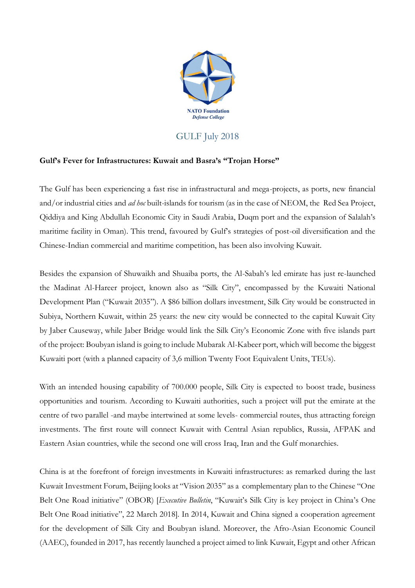

## GULF July 2018

## **Gulf's Fever for Infrastructures: Kuwait and Basra's "Trojan Horse"**

The Gulf has been experiencing a fast rise in infrastructural and mega-projects, as ports, new financial and/or industrial cities and *ad hoc* built-islands for tourism (as in the case of NEOM, the Red Sea Project, Qiddiya and King Abdullah Economic City in Saudi Arabia, Duqm port and the expansion of Salalah's maritime facility in Oman). This trend, favoured by Gulf's strategies of post-oil diversification and the Chinese-Indian commercial and maritime competition, has been also involving Kuwait.

Besides the expansion of Shuwaikh and Shuaiba ports, the Al-Sabah's led emirate has just re-launched the Madinat Al-Hareer project, known also as "Silk City", encompassed by the Kuwaiti National Development Plan ("Kuwait 2035"). A \$86 billion dollars investment, Silk City would be constructed in Subiya, Northern Kuwait, within 25 years: the new city would be connected to the capital Kuwait City by Jaber Causeway, while Jaber Bridge would link the Silk City's Economic Zone with five islands part of the project: Boubyan island is going to include Mubarak Al-Kabeer port, which will become the biggest Kuwaiti port (with a planned capacity of 3,6 million Twenty Foot Equivalent Units, TEUs).

With an intended housing capability of 700.000 people, Silk City is expected to boost trade, business opportunities and tourism. According to Kuwaiti authorities, such a project will put the emirate at the centre of two parallel -and maybe intertwined at some levels- commercial routes, thus attracting foreign investments. The first route will connect Kuwait with Central Asian republics, Russia, AFPAK and Eastern Asian countries, while the second one will cross Iraq, Iran and the Gulf monarchies.

China is at the forefront of foreign investments in Kuwaiti infrastructures: as remarked during the last Kuwait Investment Forum, Beijing looks at "Vision 2035" as a complementary plan to the Chinese "One Belt One Road initiative" (OBOR) [*Executive Bulletin*, "Kuwait's Silk City is key project in China's One Belt One Road initiative", 22 March 2018]. In 2014, Kuwait and China signed a cooperation agreement for the development of Silk City and Boubyan island. Moreover, the Afro-Asian Economic Council (AAEC), founded in 2017, has recently launched a project aimed to link Kuwait, Egypt and other African